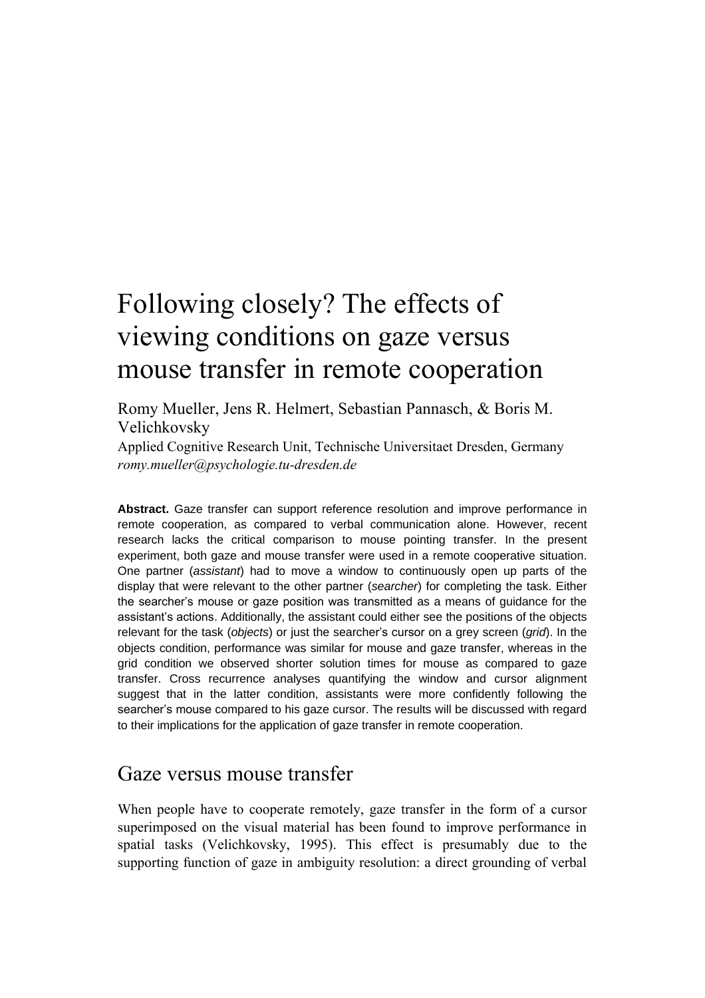# Following closely? The effects of viewing conditions on gaze versus mouse transfer in remote cooperation

Romy Mueller, Jens R. Helmert, Sebastian Pannasch, & Boris M. Velichkovsky

Applied Cognitive Research Unit, Technische Universitaet Dresden, Germany *romy.mueller@psychologie.tu-dresden.de*

**Abstract.** Gaze transfer can support reference resolution and improve performance in remote cooperation, as compared to verbal communication alone. However, recent research lacks the critical comparison to mouse pointing transfer. In the present experiment, both gaze and mouse transfer were used in a remote cooperative situation. One partner (*assistant*) had to move a window to continuously open up parts of the display that were relevant to the other partner (*searcher*) for completing the task. Either the searcher's mouse or gaze position was transmitted as a means of guidance for the assistant's actions. Additionally, the assistant could either see the positions of the objects relevant for the task (*objects*) or just the searcher's cursor on a grey screen (*grid*). In the objects condition, performance was similar for mouse and gaze transfer, whereas in the grid condition we observed shorter solution times for mouse as compared to gaze transfer. Cross recurrence analyses quantifying the window and cursor alignment suggest that in the latter condition, assistants were more confidently following the searcher's mouse compared to his gaze cursor. The results will be discussed with regard to their implications for the application of gaze transfer in remote cooperation.

### Gaze versus mouse transfer

When people have to cooperate remotely, gaze transfer in the form of a cursor superimposed on the visual material has been found to improve performance in spatial tasks (Velichkovsky, 1995). This effect is presumably due to the supporting function of gaze in ambiguity resolution: a direct grounding of verbal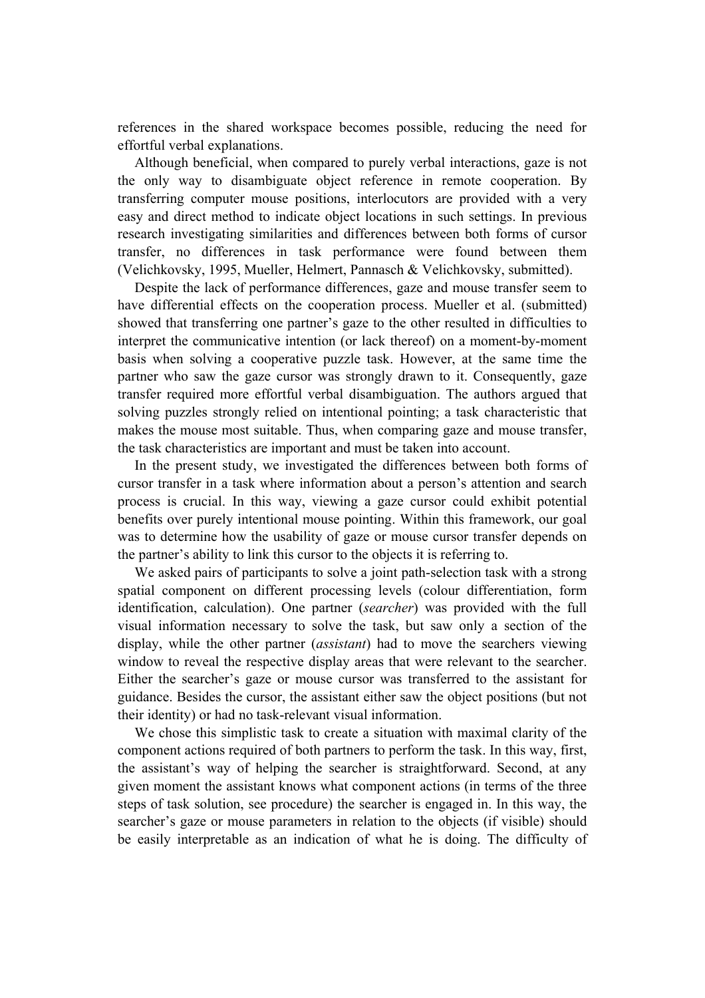references in the shared workspace becomes possible, reducing the need for effortful verbal explanations.

Although beneficial, when compared to purely verbal interactions, gaze is not the only way to disambiguate object reference in remote cooperation. By transferring computer mouse positions, interlocutors are provided with a very easy and direct method to indicate object locations in such settings. In previous research investigating similarities and differences between both forms of cursor transfer, no differences in task performance were found between them (Velichkovsky, 1995, Mueller, Helmert, Pannasch & Velichkovsky, submitted).

Despite the lack of performance differences, gaze and mouse transfer seem to have differential effects on the cooperation process. Mueller et al. (submitted) showed that transferring one partner's gaze to the other resulted in difficulties to interpret the communicative intention (or lack thereof) on a moment-by-moment basis when solving a cooperative puzzle task. However, at the same time the partner who saw the gaze cursor was strongly drawn to it. Consequently, gaze transfer required more effortful verbal disambiguation. The authors argued that solving puzzles strongly relied on intentional pointing; a task characteristic that makes the mouse most suitable. Thus, when comparing gaze and mouse transfer, the task characteristics are important and must be taken into account.

In the present study, we investigated the differences between both forms of cursor transfer in a task where information about a person's attention and search process is crucial. In this way, viewing a gaze cursor could exhibit potential benefits over purely intentional mouse pointing. Within this framework, our goal was to determine how the usability of gaze or mouse cursor transfer depends on the partner's ability to link this cursor to the objects it is referring to.

We asked pairs of participants to solve a joint path-selection task with a strong spatial component on different processing levels (colour differentiation, form identification, calculation). One partner (*searcher*) was provided with the full visual information necessary to solve the task, but saw only a section of the display, while the other partner (*assistant*) had to move the searchers viewing window to reveal the respective display areas that were relevant to the searcher. Either the searcher's gaze or mouse cursor was transferred to the assistant for guidance. Besides the cursor, the assistant either saw the object positions (but not their identity) or had no task-relevant visual information.

We chose this simplistic task to create a situation with maximal clarity of the component actions required of both partners to perform the task. In this way, first, the assistant's way of helping the searcher is straightforward. Second, at any given moment the assistant knows what component actions (in terms of the three steps of task solution, see procedure) the searcher is engaged in. In this way, the searcher's gaze or mouse parameters in relation to the objects (if visible) should be easily interpretable as an indication of what he is doing. The difficulty of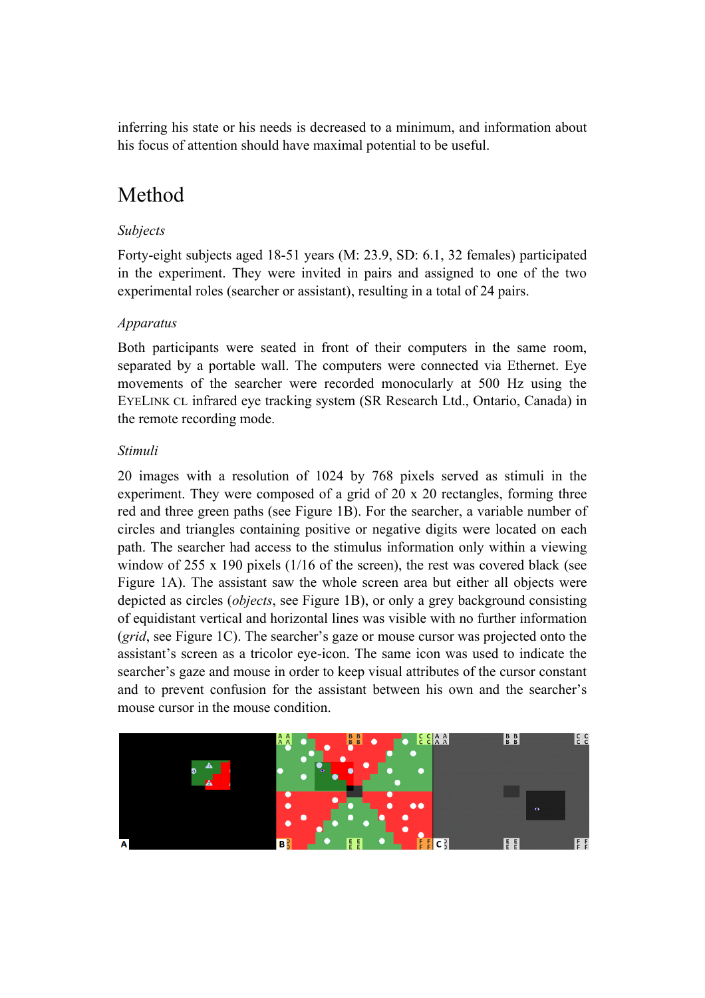inferring his state or his needs is decreased to a minimum, and information about his focus of attention should have maximal potential to be useful.

## Method

### *Subjects*

Forty-eight subjects aged 18-51 years (M: 23.9, SD: 6.1, 32 females) participated in the experiment. They were invited in pairs and assigned to one of the two experimental roles (searcher or assistant), resulting in a total of 24 pairs.

#### *Apparatus*

Both participants were seated in front of their computers in the same room, separated by a portable wall. The computers were connected via Ethernet. Eye movements of the searcher were recorded monocularly at 500 Hz using the EYELINK CL infrared eye tracking system (SR Research Ltd., Ontario, Canada) in the remote recording mode.

#### *Stimuli*

20 images with a resolution of 1024 by 768 pixels served as stimuli in the experiment. They were composed of a grid of 20 x 20 rectangles, forming three red and three green paths (see Figure 1B). For the searcher, a variable number of circles and triangles containing positive or negative digits were located on each path. The searcher had access to the stimulus information only within a viewing window of 255 x 190 pixels (1/16 of the screen), the rest was covered black (see Figure 1A). The assistant saw the whole screen area but either all objects were depicted as circles (*objects*, see Figure 1B), or only a grey background consisting of equidistant vertical and horizontal lines was visible with no further information (*grid*, see Figure 1C). The searcher's gaze or mouse cursor was projected onto the assistant's screen as a tricolor eye-icon. The same icon was used to indicate the searcher's gaze and mouse in order to keep visual attributes of the cursor constant and to prevent confusion for the assistant between his own and the searcher's mouse cursor in the mouse condition.

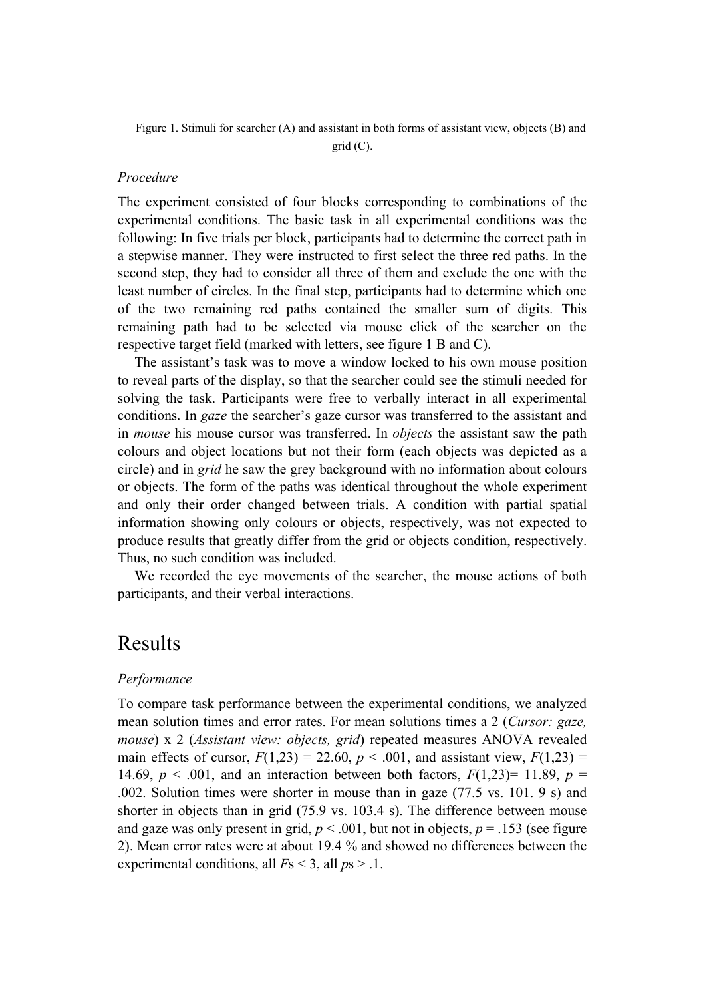Figure 1. Stimuli for searcher (A) and assistant in both forms of assistant view, objects (B) and

grid (C).

#### *Procedure*

The experiment consisted of four blocks corresponding to combinations of the experimental conditions. The basic task in all experimental conditions was the following: In five trials per block, participants had to determine the correct path in a stepwise manner. They were instructed to first select the three red paths. In the second step, they had to consider all three of them and exclude the one with the least number of circles. In the final step, participants had to determine which one of the two remaining red paths contained the smaller sum of digits. This remaining path had to be selected via mouse click of the searcher on the respective target field (marked with letters, see figure 1 B and C).

The assistant's task was to move a window locked to his own mouse position to reveal parts of the display, so that the searcher could see the stimuli needed for solving the task. Participants were free to verbally interact in all experimental conditions. In *gaze* the searcher's gaze cursor was transferred to the assistant and in *mouse* his mouse cursor was transferred. In *objects* the assistant saw the path colours and object locations but not their form (each objects was depicted as a circle) and in *grid* he saw the grey background with no information about colours or objects. The form of the paths was identical throughout the whole experiment and only their order changed between trials. A condition with partial spatial information showing only colours or objects, respectively, was not expected to produce results that greatly differ from the grid or objects condition, respectively. Thus, no such condition was included.

We recorded the eye movements of the searcher, the mouse actions of both participants, and their verbal interactions.

### Results

#### *Performance*

To compare task performance between the experimental conditions, we analyzed mean solution times and error rates. For mean solutions times a 2 (*Cursor: gaze, mouse*) x 2 (*Assistant view: objects, grid*) repeated measures ANOVA revealed main effects of cursor,  $F(1,23) = 22.60$ ,  $p < .001$ , and assistant view,  $F(1,23) =$ 14.69,  $p < .001$ , and an interaction between both factors,  $F(1,23)=11.89$ ,  $p =$ .002. Solution times were shorter in mouse than in gaze (77.5 vs. 101. 9 s) and shorter in objects than in grid (75.9 vs. 103.4 s). The difference between mouse and gaze was only present in grid,  $p < .001$ , but not in objects,  $p = .153$  (see figure 2). Mean error rates were at about 19.4 % and showed no differences between the experimental conditions, all *F*s < 3, all *p*s > .1.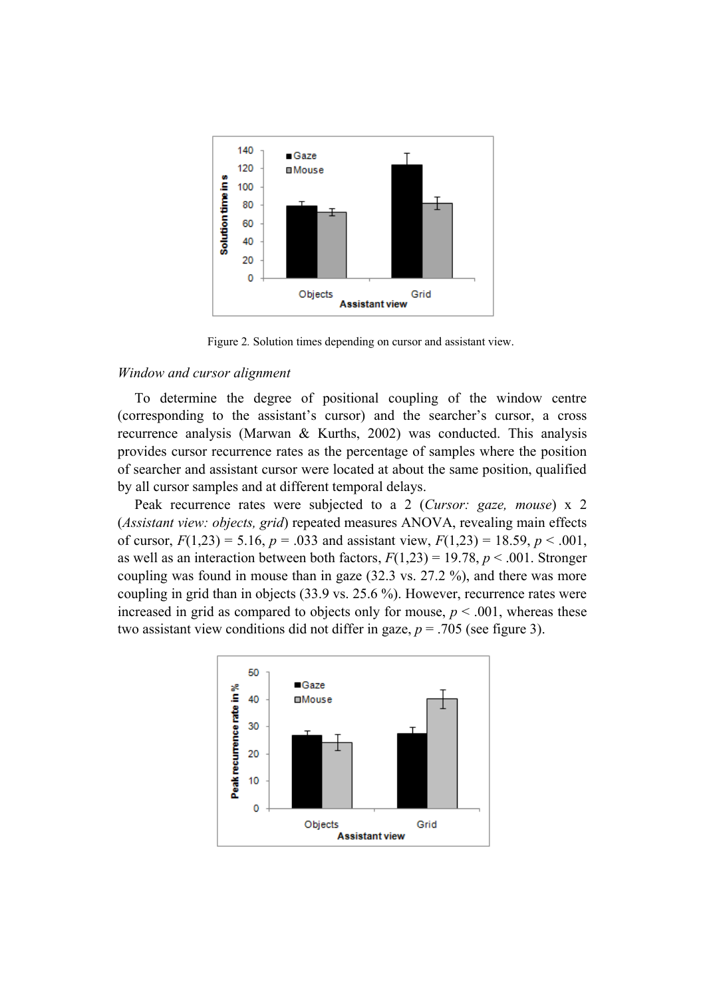

Figure 2*.* Solution times depending on cursor and assistant view.

#### *Window and cursor alignment*

To determine the degree of positional coupling of the window centre (corresponding to the assistant's cursor) and the searcher's cursor, a cross recurrence analysis (Marwan & Kurths, 2002) was conducted. This analysis provides cursor recurrence rates as the percentage of samples where the position of searcher and assistant cursor were located at about the same position, qualified by all cursor samples and at different temporal delays.

Peak recurrence rates were subjected to a 2 (*Cursor: gaze, mouse*) x 2 (*Assistant view: objects, grid*) repeated measures ANOVA, revealing main effects of cursor,  $F(1,23) = 5.16$ ,  $p = .033$  and assistant view,  $F(1,23) = 18.59$ ,  $p < .001$ , as well as an interaction between both factors,  $F(1,23) = 19.78$ ,  $p < .001$ . Stronger coupling was found in mouse than in gaze (32.3 vs. 27.2 %), and there was more coupling in grid than in objects (33.9 vs. 25.6 %). However, recurrence rates were increased in grid as compared to objects only for mouse,  $p \le 0.001$ , whereas these two assistant view conditions did not differ in gaze,  $p = .705$  (see figure 3).

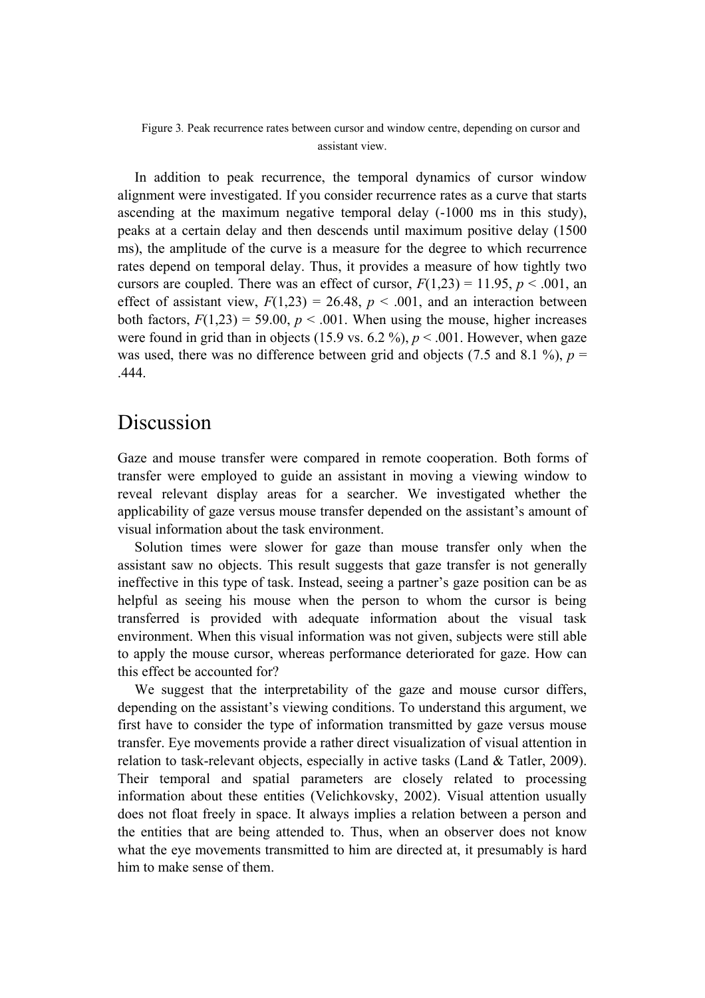Figure 3*.* Peak recurrence rates between cursor and window centre, depending on cursor and assistant view.

In addition to peak recurrence, the temporal dynamics of cursor window alignment were investigated. If you consider recurrence rates as a curve that starts ascending at the maximum negative temporal delay (-1000 ms in this study), peaks at a certain delay and then descends until maximum positive delay (1500 ms), the amplitude of the curve is a measure for the degree to which recurrence rates depend on temporal delay. Thus, it provides a measure of how tightly two cursors are coupled. There was an effect of cursor,  $F(1,23) = 11.95$ ,  $p < .001$ , an effect of assistant view,  $F(1,23) = 26.48$ ,  $p < .001$ , and an interaction between both factors,  $F(1,23) = 59.00$ ,  $p < .001$ . When using the mouse, higher increases were found in grid than in objects (15.9 vs. 6.2 %),  $p < .001$ . However, when gaze was used, there was no difference between grid and objects (7.5 and 8.1 %),  $p =$ .444.

### Discussion

Gaze and mouse transfer were compared in remote cooperation. Both forms of transfer were employed to guide an assistant in moving a viewing window to reveal relevant display areas for a searcher. We investigated whether the applicability of gaze versus mouse transfer depended on the assistant's amount of visual information about the task environment.

Solution times were slower for gaze than mouse transfer only when the assistant saw no objects. This result suggests that gaze transfer is not generally ineffective in this type of task. Instead, seeing a partner's gaze position can be as helpful as seeing his mouse when the person to whom the cursor is being transferred is provided with adequate information about the visual task environment. When this visual information was not given, subjects were still able to apply the mouse cursor, whereas performance deteriorated for gaze. How can this effect be accounted for?

We suggest that the interpretability of the gaze and mouse cursor differs, depending on the assistant's viewing conditions. To understand this argument, we first have to consider the type of information transmitted by gaze versus mouse transfer. Eye movements provide a rather direct visualization of visual attention in relation to task-relevant objects, especially in active tasks [\(Land & Tatler, 2009\)](#page-7-0). Their temporal and spatial parameters are closely related to processing information about these entities (Velichkovsky, 2002). Visual attention usually does not float freely in space. It always implies a relation between a person and the entities that are being attended to. Thus, when an observer does not know what the eye movements transmitted to him are directed at, it presumably is hard him to make sense of them.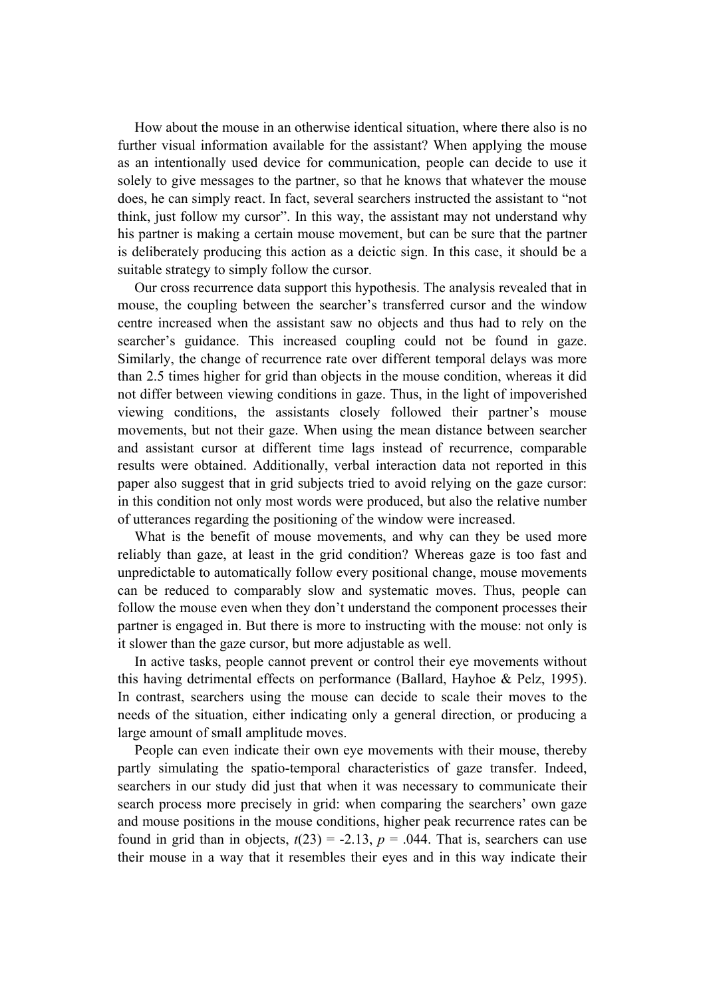How about the mouse in an otherwise identical situation, where there also is no further visual information available for the assistant? When applying the mouse as an intentionally used device for communication, people can decide to use it solely to give messages to the partner, so that he knows that whatever the mouse does, he can simply react. In fact, several searchers instructed the assistant to "not think, just follow my cursor". In this way, the assistant may not understand why his partner is making a certain mouse movement, but can be sure that the partner is deliberately producing this action as a deictic sign. In this case, it should be a suitable strategy to simply follow the cursor.

Our cross recurrence data support this hypothesis. The analysis revealed that in mouse, the coupling between the searcher's transferred cursor and the window centre increased when the assistant saw no objects and thus had to rely on the searcher's guidance. This increased coupling could not be found in gaze. Similarly, the change of recurrence rate over different temporal delays was more than 2.5 times higher for grid than objects in the mouse condition, whereas it did not differ between viewing conditions in gaze. Thus, in the light of impoverished viewing conditions, the assistants closely followed their partner's mouse movements, but not their gaze. When using the mean distance between searcher and assistant cursor at different time lags instead of recurrence, comparable results were obtained. Additionally, verbal interaction data not reported in this paper also suggest that in grid subjects tried to avoid relying on the gaze cursor: in this condition not only most words were produced, but also the relative number of utterances regarding the positioning of the window were increased.

What is the benefit of mouse movements, and why can they be used more reliably than gaze, at least in the grid condition? Whereas gaze is too fast and unpredictable to automatically follow every positional change, mouse movements can be reduced to comparably slow and systematic moves. Thus, people can follow the mouse even when they don't understand the component processes their partner is engaged in. But there is more to instructing with the mouse: not only is it slower than the gaze cursor, but more adjustable as well.

In active tasks, people cannot prevent or control their eye movements without this having detrimental effects on performance (Ballard, Hayhoe & Pelz, 1995). In contrast, searchers using the mouse can decide to scale their moves to the needs of the situation, either indicating only a general direction, or producing a large amount of small amplitude moves.

People can even indicate their own eye movements with their mouse, thereby partly simulating the spatio-temporal characteristics of gaze transfer. Indeed, searchers in our study did just that when it was necessary to communicate their search process more precisely in grid: when comparing the searchers' own gaze and mouse positions in the mouse conditions, higher peak recurrence rates can be found in grid than in objects,  $t(23) = -2.13$ ,  $p = .044$ . That is, searchers can use their mouse in a way that it resembles their eyes and in this way indicate their